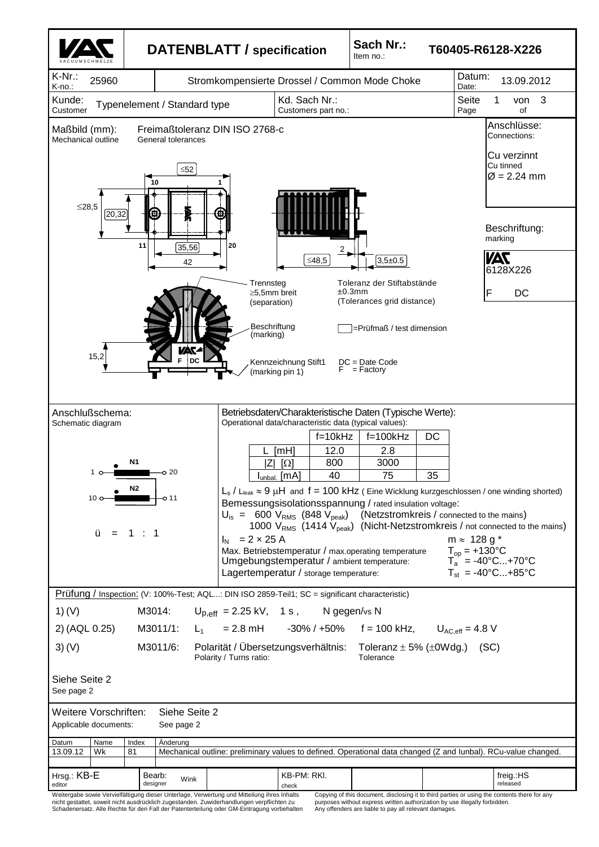

|  |  | nicht gestattet, soweit nicht ausdrucklich zugestanden. Zuwidernandlungen verpflichten zu  |  |
|--|--|--------------------------------------------------------------------------------------------|--|
|  |  | Schadenersatz. Alle Rechte für den Fall der Patenterteilung oder GM-Eintragung vorbehalten |  |

Any offenders are liable to pay all relevant damages.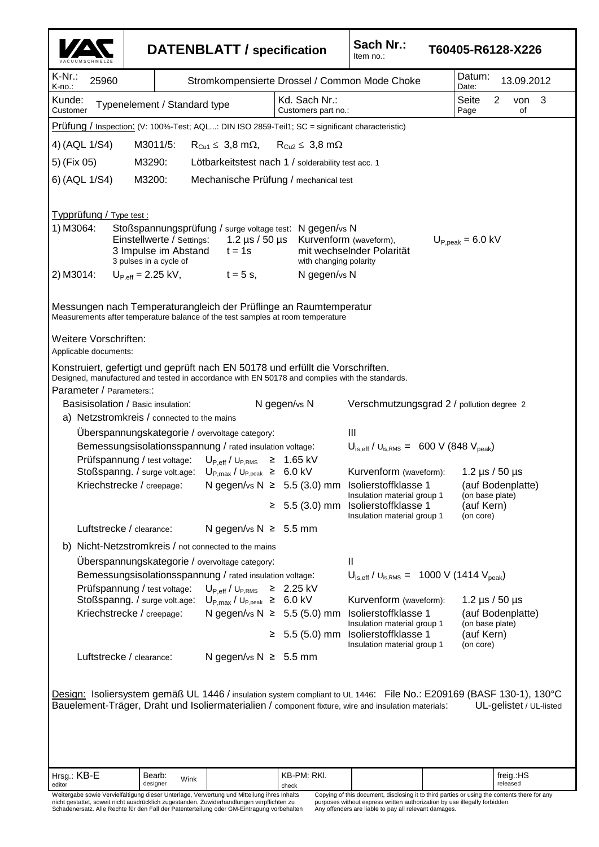V A C U U M S C H M E L Z E **DATENBLATT / specification Sach Nr.:** Item no.: **T60405-R6128-X226** K-Nr.:  $K$ -no. 25960 Stromkompensierte Drossel / Common Mode Choke Datum: 13.09.2012 Kunde:<br>Customer Typenelement / Standard type  $Kd.$  Sach Nr.: Customers part no.: Seite 2 von 3<br>Page of Page Hrsg.: KB-E editor Bearb: designer  $Wink$  KB-PM: RKI. check freig.:HS released Weitergabe sowie Vervielfältigung dieser Unterlage, Verwertung und Mitteilung ihres Inhalts nicht gestattet, soweit nicht ausdrücklich zugestanden. Zuwiderhandlungen verpflichten zu Schadenersatz. Alle Rechte für den Fall der Patenterteilung oder GM-Eintragung vorbehalten Copying of this document, disclosing it to third parties or using the contents there for any purposes without express written authorization by use illegally forbidden. Any offenders are liable to pay all relevant damages. Prüfung / Inspection: (V: 100%-Test; AQL...: DIN ISO 2859-Teil1; SC = significant characteristic) 4) (AQL 1/S4) M3011/5:  $R_{Cu1} \leq 3.8$  m $\Omega$ ,  $R_{Cu2} \leq 3.8$  m $\Omega$ 5) (Fix 05) M3290: Lötbarkeitstest nach 1 / solderability test acc. 1 6) (AQL 1/S4) M3200: Mechanische Prüfung / mechanical test Typprüfung / Type test : 1) M3064: Stoßspannungsprüfung / surge voltage test: N gegen/vs N Einstellwerte / Settings: 1.2 µs / 50 µs Kurvenform (waveform), U<sub>P,peak</sub> = 6.0 kV<br>3 Impulse im Abstand t = 1s mit wechselnder Polarität mit wechselnder Polarität<br>with changing polarity 3 pulses in a cycle of 2) M3014:  $U_{P,eff} = 2.25 \text{ kV}$ ,  $t = 5 \text{ s}$ , N gegen/vs N Messungen nach Temperaturangleich der Prüflinge an Raumtemperatur Measurements after temperature balance of the test samples at room temperature Weitere Vorschriften: Applicable documents: Konstruiert, gefertigt und geprüft nach EN 50178 und erfüllt die Vorschriften. Designed, manufactured and tested in accordance with EN 50178 and complies with the standards. Parameter / Parameters:: Basisisolation / Basic insulation: Ngegen/vs N Verschmutzungsgrad 2 / pollution degree 2 a) Netzstromkreis / connected to the mains Überspannungskategorie / overvoltage category: III Bemessungsisolationsspannung / rated insulation voltage:  $U_{\text{is,eff}}$  /  $U_{\text{is,RMs}} = 600 \text{ V}$  (848 V<sub>peak</sub>) Prüfspannung / test voltage:  $U_{P,eff}$  /  $U_{P,RMS} \geq 1.65$  kV Stoßspanng. / surge volt.age:  $U_{P, max} / U_{P, peak} \geq 6.0 \text{ kV}$  Kurvenform (waveform): 1.2 µs / 50 µs Kriechstrecke / creepage: N gegen/vs  $N \geq 5.5$  (3.0) mm Isolierstoffklasse 1 (auf Bodenplatte)<br>Insulation material group 1 (on base plate) Insulation material group 1 ≥ 5.5 (3.0) mm Isolierstoffklasse 1 (auf Kern) Insulation material group 1 Luftstrecke / clearance: N gegen/vs  $N \geq 5.5$  mm b) Nicht-Netzstromkreis / not connected to the mains Überspannungskategorie / overvoltage category: II Bemessungsisolationsspannung / rated insulation voltage:  $U_{\text{is,eff}}$  /  $U_{\text{is,RMS}} = 1000 \text{ V}$  (1414 V<sub>peak</sub>) Prüfspannung / test voltage:  $U_{P,eff}$  /  $U_{P,RMS} \geq 2.25$  kV<br>Stoßspanng. / surge volt.age:  $U_{P,max}$  /  $U_{P,peak} \geq 6.0$  kV Stoßspanng. / surge volt.age:  $U_{P, max} / U_{P, peak} \geq 6.0 \text{ kV}$  Kurvenform (waveform): 1.2 µs / 50 µs Kriechstrecke / creepage: N gegen/vs  $N \geq 5.5$  (5.0) mm Isolierstoffklasse 1 (auf Bodenplatte)<br>Insulation material group 1 (on base plate) Insulation material group 1 ≥ 5.5 (5.0) mm Isolierstoffklasse 1 (auf Kern)<br>Insulation material group 1 (on core) Insulation material group 1 Luftstrecke / clearance:  $N$  gegen/vs  $N \geq 5.5$  mm Design: Isoliersystem gemäß UL 1446 / insulation system compliant to UL 1446: File No.: E209169 (BASF 130-1), 130°C Bauelement-Träger, Draht und Isoliermaterialien / component fixture, wire and insulation materials: UL-gelistet / UL-listed